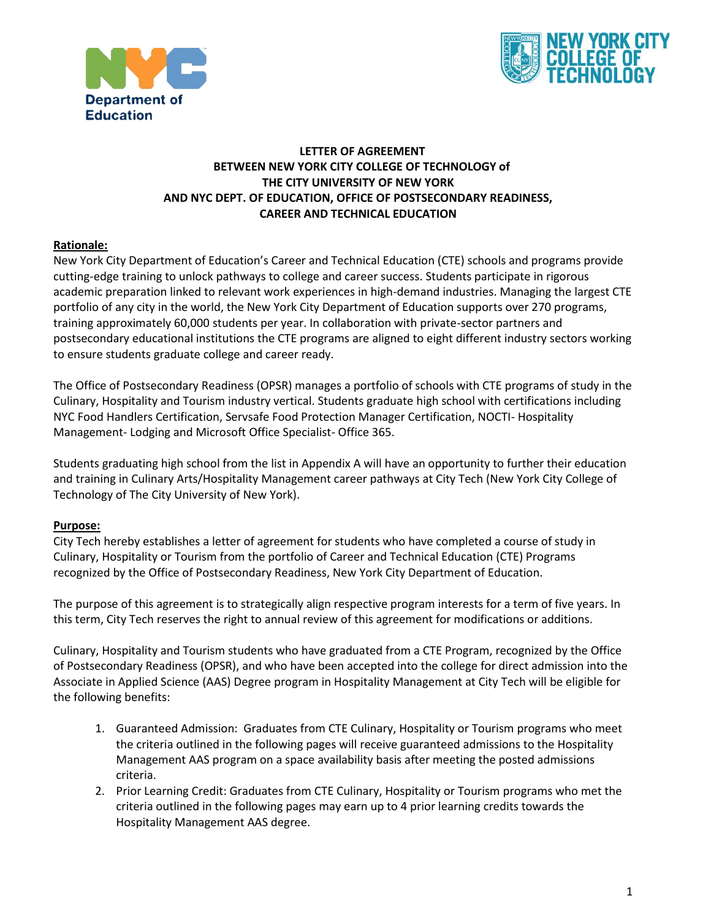



#### **LETTER OF AGREEMENT BETWEEN NEW YORK CITY COLLEGE OF TECHNOLOGY of THE CITY UNIVERSITY OF NEW YORK AND NYC DEPT. OF EDUCATION, OFFICE OF POSTSECONDARY READINESS, CAREER AND TECHNICAL EDUCATION**

#### **Rationale:**

New York City Department of Education's Career and Technical Education (CTE) schools and programs provide cutting-edge training to unlock pathways to college and career success. Students participate in rigorous academic preparation linked to relevant work experiences in high-demand industries. Managing the largest CTE portfolio of any city in the world, the New York City Department of Education supports over 270 programs, training approximately 60,000 students per year. In collaboration with private-sector partners and postsecondary educational institutions the CTE programs are aligned to eight different industry sectors working to ensure students graduate college and career ready.

 NYC Food Handlers Certification, Servsafe Food Protection Manager Certification, NOCTI- Hospitality The Office of Postsecondary Readiness (OPSR) manages a portfolio of schools with CTE programs of study in the Culinary, Hospitality and Tourism industry vertical. Students graduate high school with certifications including Management- Lodging and Microsoft Office Specialist- Office 365.

 Technology of The City University of New York). Students graduating high school from the list in Appendix A will have an opportunity to further their education and training in Culinary Arts/Hospitality Management career pathways at City Tech (New York City College of

#### **Purpose:**

 Culinary, Hospitality or Tourism from the portfolio of Career and Technical Education (CTE) Programs City Tech hereby establishes a letter of agreement for students who have completed a course of study in recognized by the Office of Postsecondary Readiness, New York City Department of Education.

 The purpose of this agreement is to strategically align respective program interests for a term of five years. In this term, City Tech reserves the right to annual review of this agreement for modifications or additions.

Culinary, Hospitality and Tourism students who have graduated from a CTE Program, recognized by the Office of Postsecondary Readiness (OPSR), and who have been accepted into the college for direct admission into the Associate in Applied Science (AAS) Degree program in Hospitality Management at City Tech will be eligible for the following benefits:

- Management AAS program on a space availability basis after meeting the posted admissions 1. Guaranteed Admission: Graduates from CTE Culinary, Hospitality or Tourism programs who meet the criteria outlined in the following pages will receive guaranteed admissions to the Hospitality criteria.
- 2. Prior Learning Credit: Graduates from CTE Culinary, Hospitality or Tourism programs who met the criteria outlined in the following pages may earn up to 4 prior learning credits towards the Hospitality Management AAS degree.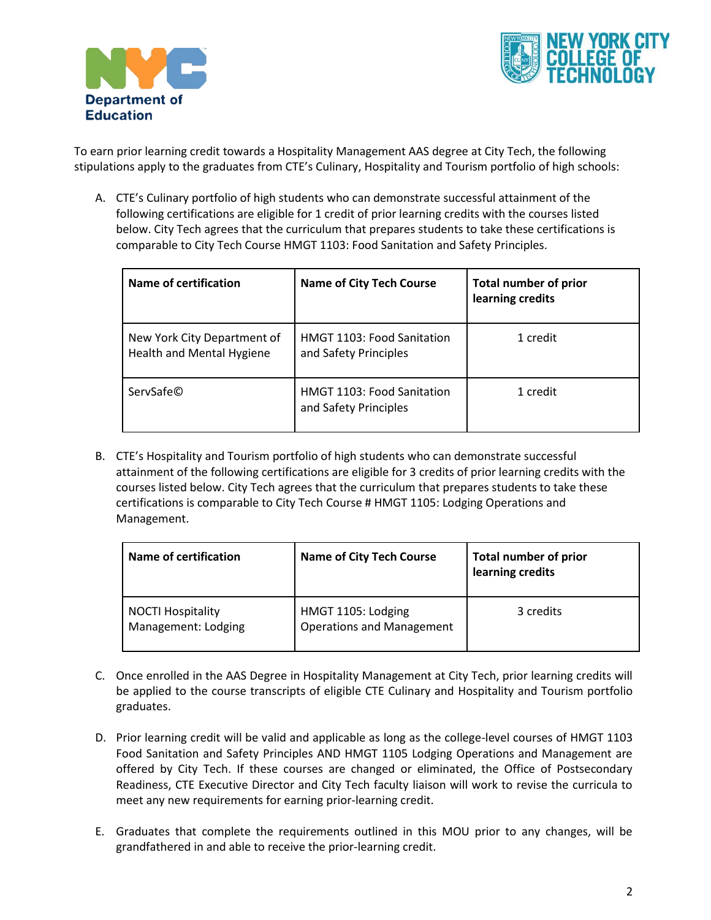



 stipulations apply to the graduates from CTE's Culinary, Hospitality and Tourism portfolio of high schools: To earn prior learning credit towards a Hospitality Management AAS degree at City Tech, the following

A. CTE's Culinary portfolio of high students who can demonstrate successful attainment of the following certifications are eligible for 1 credit of prior learning credits with the courses listed below. City Tech agrees that the curriculum that prepares students to take these certifications is comparable to City Tech Course HMGT 1103: Food Sanitation and Safety Principles.

| Name of certification                                    | <b>Name of City Tech Course</b>                            | <b>Total number of prior</b><br>learning credits |
|----------------------------------------------------------|------------------------------------------------------------|--------------------------------------------------|
| New York City Department of<br>Health and Mental Hygiene | HMGT 1103: Food Sanitation<br>and Safety Principles        | 1 credit                                         |
| ServSafe©                                                | <b>HMGT 1103: Food Sanitation</b><br>and Safety Principles | 1 credit                                         |

 B. CTE's Hospitality and Tourism portfolio of high students who can demonstrate successful courses listed below. City Tech agrees that the curriculum that prepares students to take these attainment of the following certifications are eligible for 3 credits of prior learning credits with the certifications is comparable to City Tech Course # HMGT 1105: Lodging Operations and Management.

| Name of certification                           | <b>Name of City Tech Course</b>                        | <b>Total number of prior</b><br>learning credits |
|-------------------------------------------------|--------------------------------------------------------|--------------------------------------------------|
| <b>NOCTI Hospitality</b><br>Management: Lodging | HMGT 1105: Lodging<br><b>Operations and Management</b> | 3 credits                                        |

- C. Once enrolled in the AAS Degree in Hospitality Management at City Tech, prior learning credits will be applied to the course transcripts of eligible CTE Culinary and Hospitality and Tourism portfolio graduates.
- D. Prior learning credit will be valid and applicable as long as the college-level courses of HMGT 1103 Food Sanitation and Safety Principles AND HMGT 1105 Lodging Operations and Management are offered by City Tech. If these courses are changed or eliminated, the Office of Postsecondary Readiness, CTE Executive Director and City Tech faculty liaison will work to revise the curricula to meet any new requirements for earning prior-learning credit.
- E. Graduates that complete the requirements outlined in this MOU prior to any changes, will be grandfathered in and able to receive the prior-learning credit.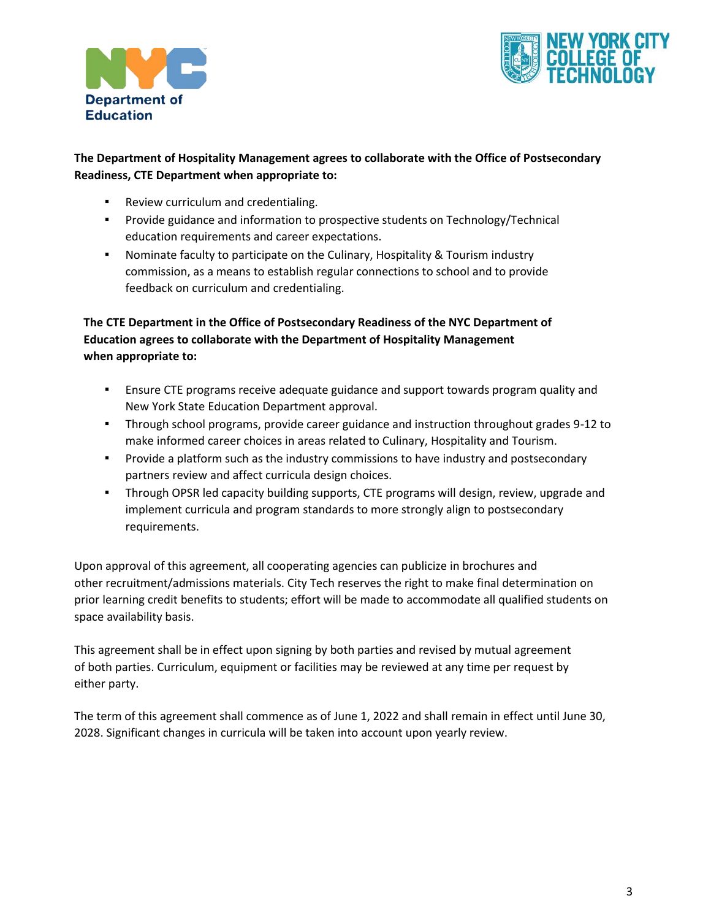



## **The Department of Hospitality Management agrees to collaborate with the Office of Postsecondary Readiness, CTE Department when appropriate to:**

- Review curriculum and credentialing.
- Provide guidance and information to prospective students on Technology/Technical education requirements and career expectations.
- commission, as a means to establish regular connections to school and to provide ▪ Nominate faculty to participate on the Culinary, Hospitality & Tourism industry feedback on curriculum and credentialing.

## **The CTE Department in the Office of Postsecondary Readiness of the NYC Department of Education agrees to collaborate with the Department of Hospitality Management when appropriate to:**

- **E** Ensure CTE programs receive adequate guidance and support towards program quality and New York State Education Department approval.
- Through school programs, provide career guidance and instruction throughout grades 9-12 to make informed career choices in areas related to Culinary, Hospitality and Tourism.
- **•** Provide a platform such as the industry commissions to have industry and postsecondary partners review and affect curricula design choices.
- **•** Through OPSR led capacity building supports, CTE programs will design, review, upgrade and implement curricula and program standards to more strongly align to postsecondary requirements.

Upon approval of this agreement, all cooperating agencies can publicize in brochures and other recruitment/admissions materials. City Tech reserves the right to make final determination on prior learning credit benefits to students; effort will be made to accommodate all qualified students on space availability basis.

This agreement shall be in effect upon signing by both parties and revised by mutual agreement of both parties. Curriculum, equipment or facilities may be reviewed at any time per request by either party.

The term of this agreement shall commence as of June 1, 2022 and shall remain in effect until June 30, 2028. Significant changes in curricula will be taken into account upon yearly review.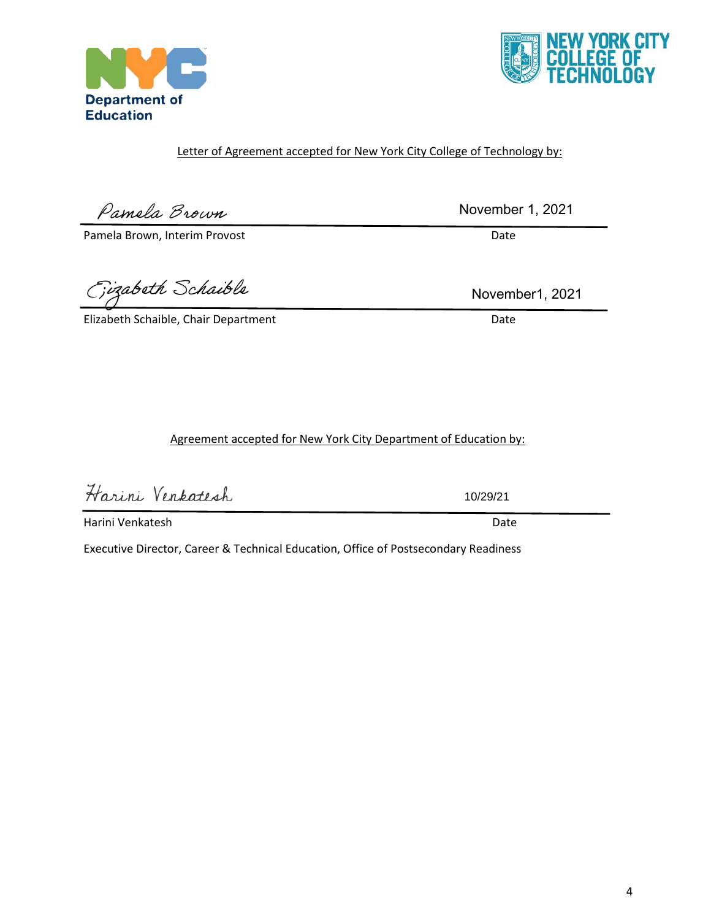# Letter of Agreement accepted for New York City College of Technology by:

Pamela Brown

**Department of Education** 

Pamela Brown, Interim Provost **Date** 

Fizabeth Schaible

Elizabeth Schaible, Chair Department Date Date

Agreement accepted for New York City Department of Education by:

Harini Venkatesh

Harini Venkatesh Date

Executive Director, Career & Technical Education, Office of Postsecondary Readiness



November 1, 2021

November1, 2021

10/29/21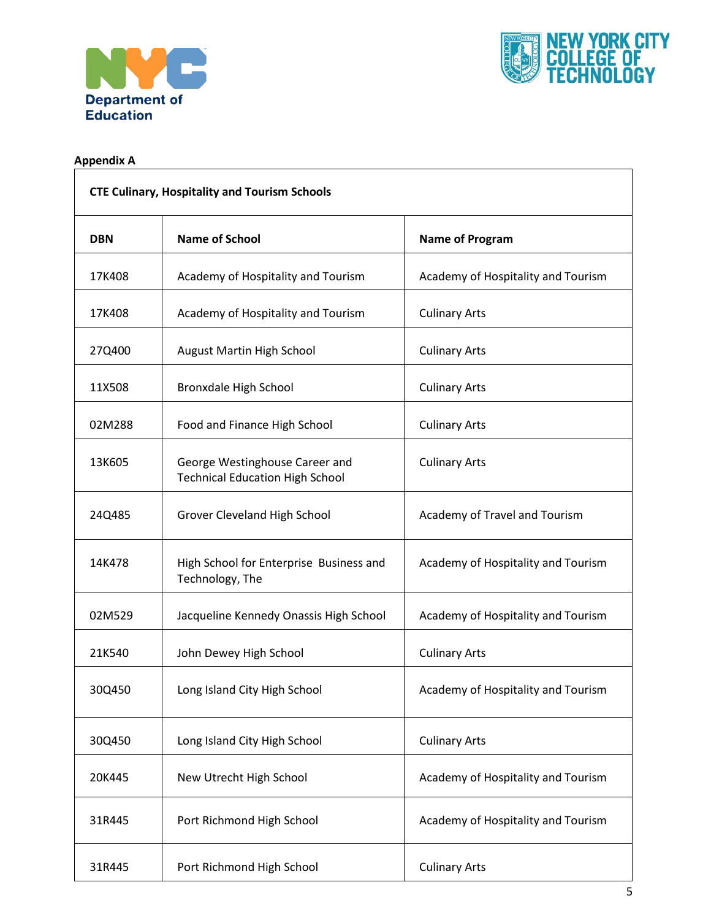



## **Appendix A**

| <b>CTE Culinary, Hospitality and Tourism Schools</b> |                                                                          |                                    |
|------------------------------------------------------|--------------------------------------------------------------------------|------------------------------------|
| <b>DBN</b>                                           | <b>Name of School</b>                                                    | <b>Name of Program</b>             |
| 17K408                                               | Academy of Hospitality and Tourism                                       | Academy of Hospitality and Tourism |
| 17K408                                               | Academy of Hospitality and Tourism                                       | <b>Culinary Arts</b>               |
| 27Q400                                               | August Martin High School                                                | <b>Culinary Arts</b>               |
| 11X508                                               | Bronxdale High School                                                    | <b>Culinary Arts</b>               |
| 02M288                                               | Food and Finance High School                                             | <b>Culinary Arts</b>               |
| 13K605                                               | George Westinghouse Career and<br><b>Technical Education High School</b> | <b>Culinary Arts</b>               |
| 24Q485                                               | Grover Cleveland High School                                             | Academy of Travel and Tourism      |
| 14K478                                               | High School for Enterprise Business and<br>Technology, The               | Academy of Hospitality and Tourism |
| 02M529                                               | Jacqueline Kennedy Onassis High School                                   | Academy of Hospitality and Tourism |
| 21K540                                               | John Dewey High School                                                   | <b>Culinary Arts</b>               |
| 30Q450                                               | Long Island City High School                                             | Academy of Hospitality and Tourism |
| 30Q450                                               | Long Island City High School                                             | <b>Culinary Arts</b>               |
| 20K445                                               | New Utrecht High School                                                  | Academy of Hospitality and Tourism |
| 31R445                                               | Port Richmond High School                                                | Academy of Hospitality and Tourism |
| 31R445                                               | Port Richmond High School                                                | <b>Culinary Arts</b>               |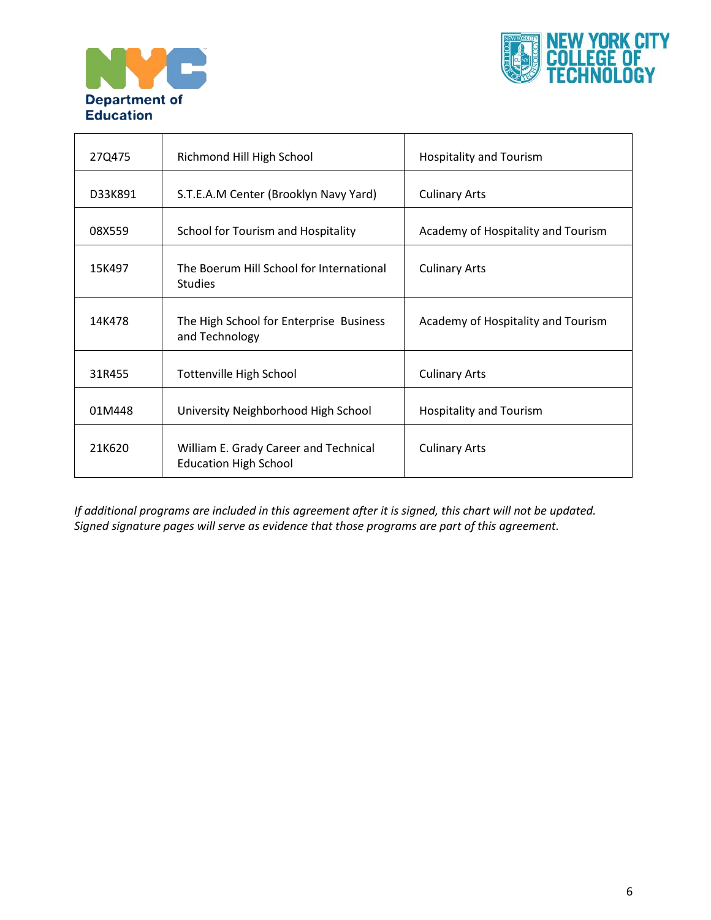



| 27Q475  | Richmond Hill High School                                             | <b>Hospitality and Tourism</b>     |  |
|---------|-----------------------------------------------------------------------|------------------------------------|--|
| D33K891 | S.T.E.A.M Center (Brooklyn Navy Yard)                                 | <b>Culinary Arts</b>               |  |
| 08X559  | School for Tourism and Hospitality                                    | Academy of Hospitality and Tourism |  |
| 15K497  | The Boerum Hill School for International<br><b>Studies</b>            | <b>Culinary Arts</b>               |  |
| 14K478  | The High School for Enterprise Business<br>and Technology             | Academy of Hospitality and Tourism |  |
| 31R455  | <b>Tottenville High School</b>                                        | <b>Culinary Arts</b>               |  |
| 01M448  | University Neighborhood High School                                   | <b>Hospitality and Tourism</b>     |  |
| 21K620  | William E. Grady Career and Technical<br><b>Education High School</b> | <b>Culinary Arts</b>               |  |

*If additional programs are included in this agreement after it is signed, this chart will not be updated. Signed signature pages will serve as evidence that those programs are part of this agreement.*